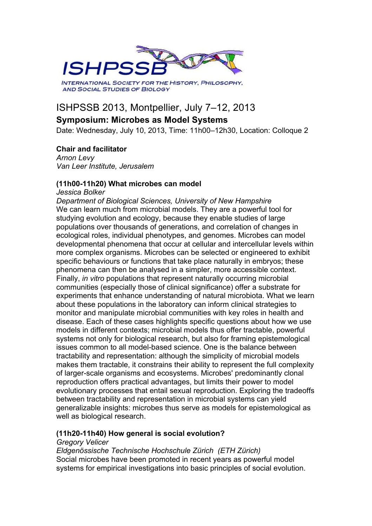

# ISHPSSB 2013, Montpellier, July 7–12, 2013

## **Symposium: Microbes as Model Systems**

Date: Wednesday, July 10, 2013, Time: 11h00–12h30, Location: Colloque 2

#### **Chair and facilitator**

*Arnon Levy Van Leer Institute, Jerusalem*

#### **(11h00-11h20) What microbes can model**

*Jessica Bolker Department of Biological Sciences, University of New Hampshire* We can learn much from microbial models. They are a powerful tool for studying evolution and ecology, because they enable studies of large populations over thousands of generations, and correlation of changes in ecological roles, individual phenotypes, and genomes. Microbes can model developmental phenomena that occur at cellular and intercellular levels within more complex organisms. Microbes can be selected or engineered to exhibit specific behaviours or functions that take place naturally in embryos; these phenomena can then be analysed in a simpler, more accessible context. Finally, *in vitro* populations that represent naturally occurring microbial communities (especially those of clinical significance) offer a substrate for experiments that enhance understanding of natural microbiota. What we learn about these populations in the laboratory can inform clinical strategies to monitor and manipulate microbial communities with key roles in health and disease. Each of these cases highlights specific questions about how we use models in different contexts; microbial models thus offer tractable, powerful systems not only for biological research, but also for framing epistemological issues common to all model-based science. One is the balance between tractability and representation: although the simplicity of microbial models makes them tractable, it constrains their ability to represent the full complexity of larger-scale organisms and ecosystems. Microbes' predominantly clonal reproduction offers practical advantages, but limits their power to model evolutionary processes that entail sexual reproduction. Exploring the tradeoffs between tractability and representation in microbial systems can yield generalizable insights: microbes thus serve as models for epistemological as well as biological research.

#### **(11h20-11h40) How general is social evolution?**

#### *Gregory Velicer*

*Eldgenössische Technische Hochschule Zürich (ETH Zürich)*  Social microbes have been promoted in recent years as powerful model systems for empirical investigations into basic principles of social evolution.